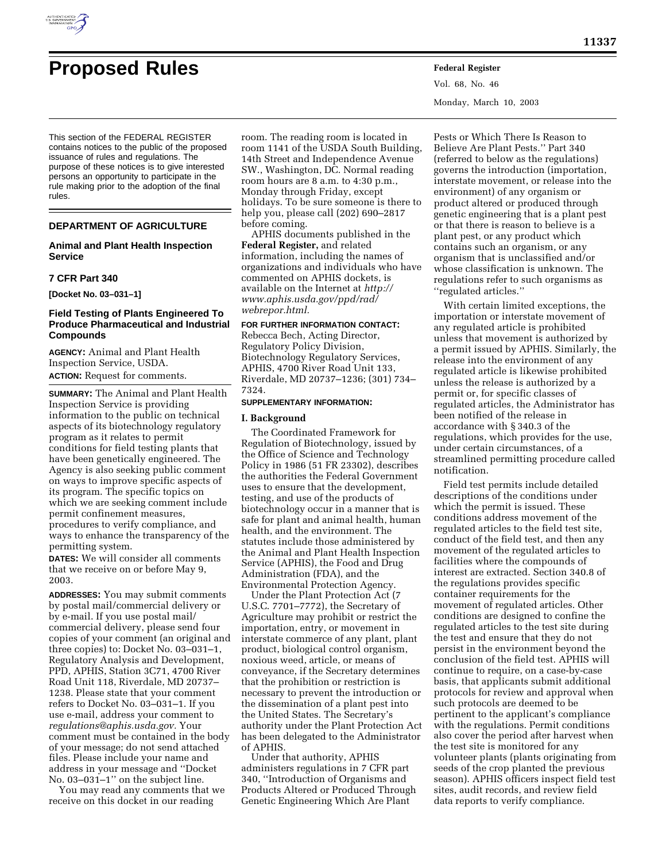

# **Proposed Rules Federal Register**

Vol. 68, No. 46 Monday, March 10, 2003

This section of the FEDERAL REGISTER contains notices to the public of the proposed issuance of rules and regulations. The purpose of these notices is to give interested persons an opportunity to participate in the rule making prior to the adoption of the final rules.

# **DEPARTMENT OF AGRICULTURE**

# **Animal and Plant Health Inspection Service**

#### **7 CFR Part 340**

**[Docket No. 03–031–1]** 

# **Field Testing of Plants Engineered To Produce Pharmaceutical and Industrial Compounds**

**AGENCY:** Animal and Plant Health Inspection Service, USDA. **ACTION:** Request for comments.

**SUMMARY:** The Animal and Plant Health Inspection Service is providing information to the public on technical aspects of its biotechnology regulatory program as it relates to permit conditions for field testing plants that have been genetically engineered. The Agency is also seeking public comment on ways to improve specific aspects of its program. The specific topics on which we are seeking comment include permit confinement measures, procedures to verify compliance, and ways to enhance the transparency of the permitting system.

**DATES:** We will consider all comments that we receive on or before May 9, 2003.

**ADDRESSES:** You may submit comments by postal mail/commercial delivery or by e-mail. If you use postal mail/ commercial delivery, please send four copies of your comment (an original and three copies) to: Docket No. 03–031–1, Regulatory Analysis and Development, PPD, APHIS, Station 3C71, 4700 River Road Unit 118, Riverdale, MD 20737– 1238. Please state that your comment refers to Docket No. 03–031–1. If you use e-mail, address your comment to *regulations@aphis.usda.gov.* Your comment must be contained in the body of your message; do not send attached files. Please include your name and address in your message and ''Docket No. 03–031–1'' on the subject line.

You may read any comments that we receive on this docket in our reading

room. The reading room is located in room 1141 of the USDA South Building, 14th Street and Independence Avenue SW., Washington, DC. Normal reading room hours are 8 a.m. to 4:30 p.m., Monday through Friday, except holidays. To be sure someone is there to help you, please call (202) 690–2817 before coming.

APHIS documents published in the **Federal Register,** and related information, including the names of organizations and individuals who have commented on APHIS dockets, is available on the Internet at *http:// www.aphis.usda.gov/ppd/rad/ webrepor.html.*

### **FOR FURTHER INFORMATION CONTACT:**

Rebecca Bech, Acting Director, Regulatory Policy Division, Biotechnology Regulatory Services, APHIS, 4700 River Road Unit 133, Riverdale, MD 20737–1236; (301) 734– 7324.

#### **SUPPLEMENTARY INFORMATION:**

#### **I. Background**

The Coordinated Framework for Regulation of Biotechnology, issued by the Office of Science and Technology Policy in 1986 (51 FR 23302), describes the authorities the Federal Government uses to ensure that the development, testing, and use of the products of biotechnology occur in a manner that is safe for plant and animal health, human health, and the environment. The statutes include those administered by the Animal and Plant Health Inspection Service (APHIS), the Food and Drug Administration (FDA), and the Environmental Protection Agency.

Under the Plant Protection Act (7 U.S.C. 7701–7772), the Secretary of Agriculture may prohibit or restrict the importation, entry, or movement in interstate commerce of any plant, plant product, biological control organism, noxious weed, article, or means of conveyance, if the Secretary determines that the prohibition or restriction is necessary to prevent the introduction or the dissemination of a plant pest into the United States. The Secretary's authority under the Plant Protection Act has been delegated to the Administrator of APHIS.

Under that authority, APHIS administers regulations in 7 CFR part 340, ''Introduction of Organisms and Products Altered or Produced Through Genetic Engineering Which Are Plant

Pests or Which There Is Reason to Believe Are Plant Pests.'' Part 340 (referred to below as the regulations) governs the introduction (importation, interstate movement, or release into the environment) of any organism or product altered or produced through genetic engineering that is a plant pest or that there is reason to believe is a plant pest, or any product which contains such an organism, or any organism that is unclassified and/or whose classification is unknown. The regulations refer to such organisms as ''regulated articles.''

With certain limited exceptions, the importation or interstate movement of any regulated article is prohibited unless that movement is authorized by a permit issued by APHIS. Similarly, the release into the environment of any regulated article is likewise prohibited unless the release is authorized by a permit or, for specific classes of regulated articles, the Administrator has been notified of the release in accordance with § 340.3 of the regulations, which provides for the use, under certain circumstances, of a streamlined permitting procedure called notification.

Field test permits include detailed descriptions of the conditions under which the permit is issued. These conditions address movement of the regulated articles to the field test site, conduct of the field test, and then any movement of the regulated articles to facilities where the compounds of interest are extracted. Section 340.8 of the regulations provides specific container requirements for the movement of regulated articles. Other conditions are designed to confine the regulated articles to the test site during the test and ensure that they do not persist in the environment beyond the conclusion of the field test. APHIS will continue to require, on a case-by-case basis, that applicants submit additional protocols for review and approval when such protocols are deemed to be pertinent to the applicant's compliance with the regulations. Permit conditions also cover the period after harvest when the test site is monitored for any volunteer plants (plants originating from seeds of the crop planted the previous season). APHIS officers inspect field test sites, audit records, and review field data reports to verify compliance.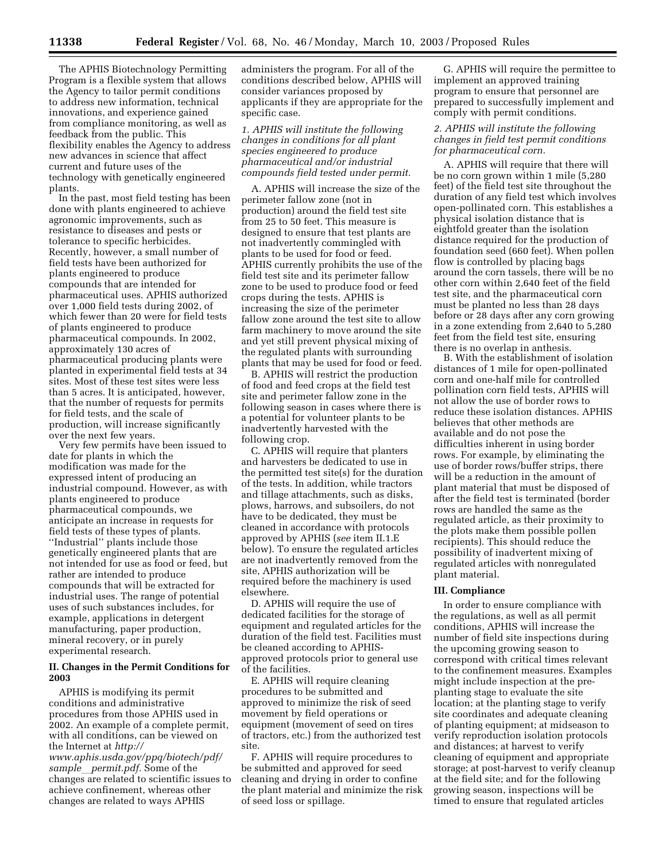The APHIS Biotechnology Permitting Program is a flexible system that allows the Agency to tailor permit conditions to address new information, technical innovations, and experience gained from compliance monitoring, as well as feedback from the public. This flexibility enables the Agency to address new advances in science that affect current and future uses of the technology with genetically engineered plants.

In the past, most field testing has been done with plants engineered to achieve agronomic improvements, such as resistance to diseases and pests or tolerance to specific herbicides. Recently, however, a small number of field tests have been authorized for plants engineered to produce compounds that are intended for pharmaceutical uses. APHIS authorized over 1,000 field tests during 2002, of which fewer than 20 were for field tests of plants engineered to produce pharmaceutical compounds. In 2002, approximately 130 acres of pharmaceutical producing plants were planted in experimental field tests at 34 sites. Most of these test sites were less than 5 acres. It is anticipated, however, that the number of requests for permits for field tests, and the scale of production, will increase significantly over the next few years.

Very few permits have been issued to date for plants in which the modification was made for the expressed intent of producing an industrial compound. However, as with plants engineered to produce pharmaceutical compounds, we anticipate an increase in requests for field tests of these types of plants. ''Industrial'' plants include those genetically engineered plants that are not intended for use as food or feed, but rather are intended to produce compounds that will be extracted for industrial uses. The range of potential uses of such substances includes, for example, applications in detergent manufacturing, paper production, mineral recovery, or in purely experimental research.

# **II. Changes in the Permit Conditions for 2003**

APHIS is modifying its permit conditions and administrative procedures from those APHIS used in 2002. An example of a complete permit, with all conditions, can be viewed on the Internet at *http:// www.aphis.usda.gov/ppq/biotech/pdf/ sample*l*permit.pdf.* Some of the changes are related to scientific issues to achieve confinement, whereas other changes are related to ways APHIS

administers the program. For all of the conditions described below, APHIS will consider variances proposed by applicants if they are appropriate for the specific case.

*1. APHIS will institute the following changes in conditions for all plant species engineered to produce pharmaceutical and/or industrial compounds field tested under permit.* 

A. APHIS will increase the size of the perimeter fallow zone (not in production) around the field test site from 25 to 50 feet. This measure is designed to ensure that test plants are not inadvertently commingled with plants to be used for food or feed. APHIS currently prohibits the use of the field test site and its perimeter fallow zone to be used to produce food or feed crops during the tests. APHIS is increasing the size of the perimeter fallow zone around the test site to allow farm machinery to move around the site and yet still prevent physical mixing of the regulated plants with surrounding plants that may be used for food or feed.

B. APHIS will restrict the production of food and feed crops at the field test site and perimeter fallow zone in the following season in cases where there is a potential for volunteer plants to be inadvertently harvested with the following crop.

C. APHIS will require that planters and harvesters be dedicated to use in the permitted test site(s) for the duration of the tests. In addition, while tractors and tillage attachments, such as disks, plows, harrows, and subsoilers, do not have to be dedicated, they must be cleaned in accordance with protocols approved by APHIS (*see* item II.1.E below). To ensure the regulated articles are not inadvertently removed from the site, APHIS authorization will be required before the machinery is used elsewhere.

D. APHIS will require the use of dedicated facilities for the storage of equipment and regulated articles for the duration of the field test. Facilities must be cleaned according to APHISapproved protocols prior to general use of the facilities.

E. APHIS will require cleaning procedures to be submitted and approved to minimize the risk of seed movement by field operations or equipment (movement of seed on tires of tractors, etc.) from the authorized test site.

F. APHIS will require procedures to be submitted and approved for seed cleaning and drying in order to confine the plant material and minimize the risk of seed loss or spillage.

G. APHIS will require the permittee to implement an approved training program to ensure that personnel are prepared to successfully implement and comply with permit conditions.

# *2. APHIS will institute the following changes in field test permit conditions for pharmaceutical corn.*

A. APHIS will require that there will be no corn grown within 1 mile (5,280 feet) of the field test site throughout the duration of any field test which involves open-pollinated corn. This establishes a physical isolation distance that is eightfold greater than the isolation distance required for the production of foundation seed (660 feet). When pollen flow is controlled by placing bags around the corn tassels, there will be no other corn within 2,640 feet of the field test site, and the pharmaceutical corn must be planted no less than 28 days before or 28 days after any corn growing in a zone extending from 2,640 to 5,280 feet from the field test site, ensuring there is no overlap in anthesis.

B. With the establishment of isolation distances of 1 mile for open-pollinated corn and one-half mile for controlled pollination corn field tests, APHIS will not allow the use of border rows to reduce these isolation distances. APHIS believes that other methods are available and do not pose the difficulties inherent in using border rows. For example, by eliminating the use of border rows/buffer strips, there will be a reduction in the amount of plant material that must be disposed of after the field test is terminated (border rows are handled the same as the regulated article, as their proximity to the plots make them possible pollen recipients). This should reduce the possibility of inadvertent mixing of regulated articles with nonregulated plant material.

#### **III. Compliance**

In order to ensure compliance with the regulations, as well as all permit conditions, APHIS will increase the number of field site inspections during the upcoming growing season to correspond with critical times relevant to the confinement measures. Examples might include inspection at the preplanting stage to evaluate the site location; at the planting stage to verify site coordinates and adequate cleaning of planting equipment; at midseason to verify reproduction isolation protocols and distances; at harvest to verify cleaning of equipment and appropriate storage; at post-harvest to verify cleanup at the field site; and for the following growing season, inspections will be timed to ensure that regulated articles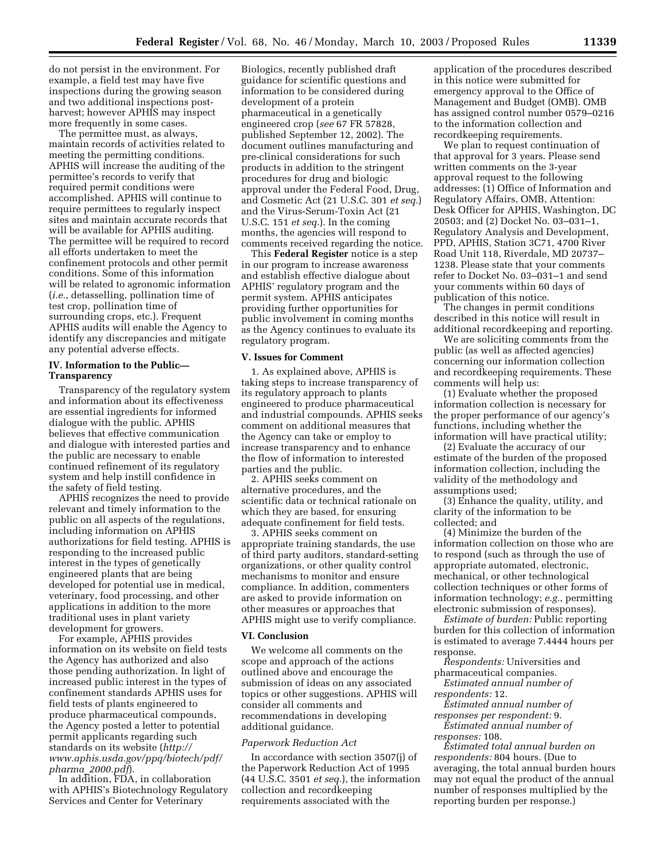do not persist in the environment. For example, a field test may have five inspections during the growing season and two additional inspections postharvest; however APHIS may inspect more frequently in some cases.

The permittee must, as always, maintain records of activities related to meeting the permitting conditions. APHIS will increase the auditing of the permittee's records to verify that required permit conditions were accomplished. APHIS will continue to require permittees to regularly inspect sites and maintain accurate records that will be available for APHIS auditing. The permittee will be required to record all efforts undertaken to meet the confinement protocols and other permit conditions. Some of this information will be related to agronomic information (*i.e.*, detasselling, pollination time of test crop, pollination time of surrounding crops, etc.). Frequent APHIS audits will enable the Agency to identify any discrepancies and mitigate any potential adverse effects.

# **IV. Information to the Public— Transparency**

Transparency of the regulatory system and information about its effectiveness are essential ingredients for informed dialogue with the public. APHIS believes that effective communication and dialogue with interested parties and the public are necessary to enable continued refinement of its regulatory system and help instill confidence in the safety of field testing.

APHIS recognizes the need to provide relevant and timely information to the public on all aspects of the regulations, including information on APHIS authorizations for field testing. APHIS is responding to the increased public interest in the types of genetically engineered plants that are being developed for potential use in medical, veterinary, food processing, and other applications in addition to the more traditional uses in plant variety development for growers.

For example, APHIS provides information on its website on field tests the Agency has authorized and also those pending authorization. In light of increased public interest in the types of confinement standards APHIS uses for field tests of plants engineered to produce pharmaceutical compounds, the Agency posted a letter to potential permit applicants regarding such standards on its website (*http:// www.aphis.usda.gov/ppq/biotech/pdf/ pharma*\_*2000.pdf*).

In addition, FDA, in collaboration with APHIS's Biotechnology Regulatory Services and Center for Veterinary

Biologics, recently published draft guidance for scientific questions and information to be considered during development of a protein pharmaceutical in a genetically engineered crop (*see* 67 FR 57828, published September 12, 2002). The document outlines manufacturing and pre-clinical considerations for such products in addition to the stringent procedures for drug and biologic approval under the Federal Food, Drug, and Cosmetic Act (21 U.S.C. 301 *et seq.*) and the Virus-Serum-Toxin Act (21 U.S.C. 151 *et seq.*). In the coming months, the agencies will respond to comments received regarding the notice.

This **Federal Register** notice is a step in our program to increase awareness and establish effective dialogue about APHIS' regulatory program and the permit system. APHIS anticipates providing further opportunities for public involvement in coming months as the Agency continues to evaluate its regulatory program.

#### **V. Issues for Comment**

1. As explained above, APHIS is taking steps to increase transparency of its regulatory approach to plants engineered to produce pharmaceutical and industrial compounds. APHIS seeks comment on additional measures that the Agency can take or employ to increase transparency and to enhance the flow of information to interested parties and the public.

2. APHIS seeks comment on alternative procedures, and the scientific data or technical rationale on which they are based, for ensuring adequate confinement for field tests.

3. APHIS seeks comment on appropriate training standards, the use of third party auditors, standard-setting organizations, or other quality control mechanisms to monitor and ensure compliance. In addition, commenters are asked to provide information on other measures or approaches that APHIS might use to verify compliance.

# **VI. Conclusion**

We welcome all comments on the scope and approach of the actions outlined above and encourage the submission of ideas on any associated topics or other suggestions. APHIS will consider all comments and recommendations in developing additional guidance.

#### *Paperwork Reduction Act*

In accordance with section 3507(j) of the Paperwork Reduction Act of 1995 (44 U.S.C. 3501 *et seq.*), the information collection and recordkeeping requirements associated with the

application of the procedures described in this notice were submitted for emergency approval to the Office of Management and Budget (OMB). OMB has assigned control number 0579–0216 to the information collection and recordkeeping requirements.

We plan to request continuation of that approval for 3 years. Please send written comments on the 3-year approval request to the following addresses: (1) Office of Information and Regulatory Affairs, OMB, Attention: Desk Officer for APHIS, Washington, DC 20503; and (2) Docket No. 03–031–1, Regulatory Analysis and Development, PPD, APHIS, Station 3C71, 4700 River Road Unit 118, Riverdale, MD 20737– 1238. Please state that your comments refer to Docket No. 03–031–1 and send your comments within 60 days of publication of this notice.

The changes in permit conditions described in this notice will result in additional recordkeeping and reporting.

We are soliciting comments from the public (as well as affected agencies) concerning our information collection and recordkeeping requirements. These comments will help us:

(1) Evaluate whether the proposed information collection is necessary for the proper performance of our agency's functions, including whether the information will have practical utility;

(2) Evaluate the accuracy of our estimate of the burden of the proposed information collection, including the validity of the methodology and assumptions used;

(3) Enhance the quality, utility, and clarity of the information to be collected; and

(4) Minimize the burden of the information collection on those who are to respond (such as through the use of appropriate automated, electronic, mechanical, or other technological collection techniques or other forms of information technology; *e.g.*, permitting electronic submission of responses).

*Estimate of burden:* Public reporting burden for this collection of information is estimated to average 7.4444 hours per response.

*Respondents:* Universities and pharmaceutical companies.

*Estimated annual number of respondents:* 12.

*Estimated annual number of responses per respondent:* 9.

*Estimated annual number of responses:* 108.

*Estimated total annual burden on respondents:* 804 hours. (Due to averaging, the total annual burden hours may not equal the product of the annual number of responses multiplied by the reporting burden per response.)